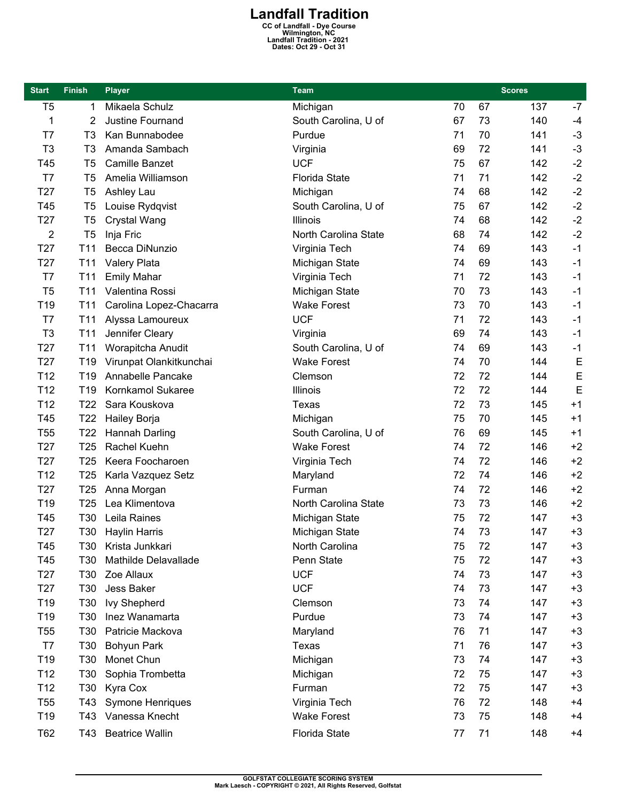**Landfall Tradition**<br>
CC of Landfall - Dye Course<br>
Wilmington, NC<br>
Landfall Tradition - 2021<br>
Dates: Oct 29 - Oct 31

| <b>Start</b>    | <b>Finish</b>   | <b>Player</b>           | Team                 | <b>Scores</b> |    |     |      |
|-----------------|-----------------|-------------------------|----------------------|---------------|----|-----|------|
| T <sub>5</sub>  | 1               | Mikaela Schulz          | Michigan             | 70            | 67 | 137 | $-7$ |
| 1               | 2               | Justine Fournand        | South Carolina, U of | 67            | 73 | 140 | $-4$ |
| T7              | T3              | Kan Bunnabodee          | Purdue               | 71            | 70 | 141 | $-3$ |
| T <sub>3</sub>  | T <sub>3</sub>  | Amanda Sambach          | Virginia             | 69            | 72 | 141 | $-3$ |
| T45             | T <sub>5</sub>  | <b>Camille Banzet</b>   | <b>UCF</b>           | 75            | 67 | 142 | $-2$ |
| T7              | T <sub>5</sub>  | Amelia Williamson       | <b>Florida State</b> | 71            | 71 | 142 | $-2$ |
| T27             | T <sub>5</sub>  | Ashley Lau              | Michigan             | 74            | 68 | 142 | $-2$ |
| T45             | T <sub>5</sub>  | Louise Rydqvist         | South Carolina, U of | 75            | 67 | 142 | $-2$ |
| T <sub>27</sub> | T <sub>5</sub>  | Crystal Wang            | Illinois             | 74            | 68 | 142 | $-2$ |
| 2               | T <sub>5</sub>  | Inja Fric               | North Carolina State | 68            | 74 | 142 | $-2$ |
| T <sub>27</sub> | T <sub>11</sub> | Becca DiNunzio          | Virginia Tech        | 74            | 69 | 143 | $-1$ |
| T <sub>27</sub> | T <sub>11</sub> | <b>Valery Plata</b>     | Michigan State       | 74            | 69 | 143 | $-1$ |
| T7              | T <sub>11</sub> | <b>Emily Mahar</b>      | Virginia Tech        | 71            | 72 | 143 | $-1$ |
| T <sub>5</sub>  | T <sub>11</sub> | Valentina Rossi         | Michigan State       | 70            | 73 | 143 | $-1$ |
| T19             | T <sub>11</sub> | Carolina Lopez-Chacarra | <b>Wake Forest</b>   | 73            | 70 | 143 | $-1$ |
| T7              | T <sub>11</sub> | Alyssa Lamoureux        | <b>UCF</b>           | 71            | 72 | 143 | $-1$ |
| T <sub>3</sub>  | T <sub>11</sub> | Jennifer Cleary         | Virginia             | 69            | 74 | 143 | $-1$ |
| T <sub>27</sub> | T <sub>11</sub> | Worapitcha Anudit       | South Carolina, U of | 74            | 69 | 143 | $-1$ |
| T <sub>27</sub> | T19             | Virunpat Olankitkunchai | <b>Wake Forest</b>   | 74            | 70 | 144 | E    |
| T <sub>12</sub> | T <sub>19</sub> | Annabelle Pancake       | Clemson              | 72            | 72 | 144 | E    |
| T <sub>12</sub> | T <sub>19</sub> | Kornkamol Sukaree       | Illinois             | 72            | 72 | 144 | E    |
| T <sub>12</sub> | T <sub>22</sub> | Sara Kouskova           | Texas                | 72            | 73 | 145 | $+1$ |
| T45             | T <sub>22</sub> | Hailey Borja            | Michigan             | 75            | 70 | 145 | $+1$ |
| T <sub>55</sub> | T <sub>22</sub> | Hannah Darling          | South Carolina, U of | 76            | 69 | 145 | $+1$ |
| T <sub>27</sub> | T <sub>25</sub> | Rachel Kuehn            | <b>Wake Forest</b>   | 74            | 72 | 146 | $+2$ |
| T <sub>27</sub> | T <sub>25</sub> | Keera Foocharoen        | Virginia Tech        | 74            | 72 | 146 | $+2$ |
| T <sub>12</sub> | T <sub>25</sub> | Karla Vazquez Setz      | Maryland             | 72            | 74 | 146 | $+2$ |
| T <sub>27</sub> | T <sub>25</sub> | Anna Morgan             | Furman               | 74            | 72 | 146 | $+2$ |
| T19             | T <sub>25</sub> | Lea Klimentova          | North Carolina State | 73            | 73 | 146 | $+2$ |
| T45             | T30             | Leila Raines            | Michigan State       | 75            | 72 | 147 | $+3$ |
| T <sub>27</sub> | T30             | <b>Haylin Harris</b>    | Michigan State       | 74            | 73 | 147 | $+3$ |
| T45             | T30             | Krista Junkkari         | North Carolina       | 75            | 72 | 147 | +3   |
| T45             | T30             | Mathilde Delavallade    | Penn State           | 75            | 72 | 147 | $+3$ |
| T <sub>27</sub> | T30             | Zoe Allaux              | <b>UCF</b>           | 74            | 73 | 147 | $+3$ |
| T <sub>27</sub> | T30             | Jess Baker              | <b>UCF</b>           | 74            | 73 | 147 | $+3$ |
| T <sub>19</sub> | T30             | <b>Ivy Shepherd</b>     | Clemson              | 73            | 74 | 147 | $+3$ |
| T <sub>19</sub> | T30             | Inez Wanamarta          | Purdue               | 73            | 74 | 147 | $+3$ |
| <b>T55</b>      | T <sub>30</sub> | Patricie Mackova        | Maryland             | 76            | 71 | 147 | $+3$ |
| T7              | T30             | Bohyun Park             | Texas                | 71            | 76 | 147 | $+3$ |
| T <sub>19</sub> | T30             | Monet Chun              | Michigan             | 73            | 74 | 147 | $+3$ |
| T <sub>12</sub> | T30             | Sophia Trombetta        | Michigan             | 72            | 75 | 147 | $+3$ |
| T <sub>12</sub> | T30             | Kyra Cox                | Furman               | 72            | 75 | 147 | $+3$ |
| <b>T55</b>      | T43             | Symone Henriques        | Virginia Tech        | 76            | 72 | 148 | $+4$ |
| T <sub>19</sub> | T43             | Vanessa Knecht          | <b>Wake Forest</b>   | 73            | 75 | 148 | $+4$ |
| T62             | T43             | <b>Beatrice Wallin</b>  | Florida State        | 77            | 71 | 148 | $+4$ |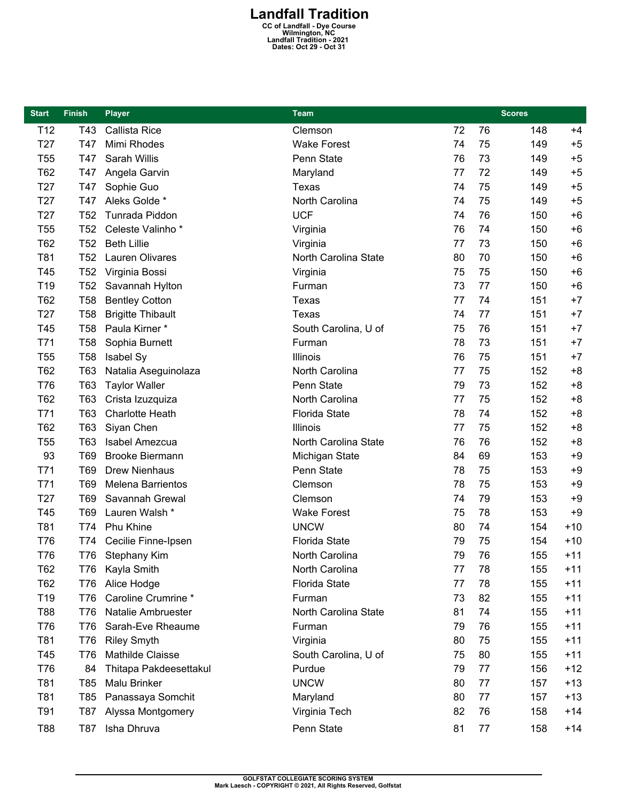## **Landfall Tradition**<br>
CC of Landfall - Dye Course<br>
Wilmington, NC<br>
Landfall Tradition - 2021<br>
Dates: Oct 29 - Oct 31

| <b>Start</b>    | <b>Finish</b>   | <b>Player</b>            | Team                 |    |    | <b>Scores</b> |       |
|-----------------|-----------------|--------------------------|----------------------|----|----|---------------|-------|
| T <sub>12</sub> | T43             | Callista Rice            | Clemson              | 72 | 76 | 148           | $+4$  |
| T <sub>27</sub> | T47             | Mimi Rhodes              | <b>Wake Forest</b>   | 74 | 75 | 149           | $+5$  |
| T <sub>55</sub> | T47             | Sarah Willis             | Penn State           | 76 | 73 | 149           | $+5$  |
| T62             | T47             | Angela Garvin            | Maryland             | 77 | 72 | 149           | $+5$  |
| T <sub>27</sub> | T47             | Sophie Guo               | Texas                | 74 | 75 | 149           | $+5$  |
| T <sub>27</sub> | T47             | Aleks Golde *            | North Carolina       | 74 | 75 | 149           | $+5$  |
| T <sub>27</sub> | T <sub>52</sub> | Tunrada Piddon           | <b>UCF</b>           | 74 | 76 | 150           | $+6$  |
| T <sub>55</sub> | T <sub>52</sub> | Celeste Valinho*         | Virginia             | 76 | 74 | 150           | $+6$  |
| T62             | T <sub>52</sub> | <b>Beth Lillie</b>       | Virginia             | 77 | 73 | 150           | $+6$  |
| T81             | T <sub>52</sub> | Lauren Olivares          | North Carolina State | 80 | 70 | 150           | $+6$  |
| T45             | T <sub>52</sub> | Virginia Bossi           | Virginia             | 75 | 75 | 150           | $+6$  |
| T19             | T <sub>52</sub> | Savannah Hylton          | Furman               | 73 | 77 | 150           | $+6$  |
| T62             | <b>T58</b>      | <b>Bentley Cotton</b>    | <b>Texas</b>         | 77 | 74 | 151           | $+7$  |
| T <sub>27</sub> | <b>T58</b>      | <b>Brigitte Thibault</b> | Texas                | 74 | 77 | 151           | $+7$  |
| T45             | <b>T58</b>      | Paula Kirner *           | South Carolina, U of | 75 | 76 | 151           | $+7$  |
| T71             | <b>T58</b>      | Sophia Burnett           | Furman               | 78 | 73 | 151           | $+7$  |
| T <sub>55</sub> | <b>T58</b>      | Isabel Sy                | Illinois             | 76 | 75 | 151           | $+7$  |
| T62             | T63             | Natalia Aseguinolaza     | North Carolina       | 77 | 75 | 152           | $+8$  |
| T76             | T63             | <b>Taylor Waller</b>     | Penn State           | 79 | 73 | 152           | $+8$  |
| T62             | T63             | Crista Izuzquiza         | North Carolina       | 77 | 75 | 152           | $+8$  |
| T71             | T63             | <b>Charlotte Heath</b>   | <b>Florida State</b> | 78 | 74 | 152           | $+8$  |
| T62             | T63             | Siyan Chen               | Illinois             | 77 | 75 | 152           | $+8$  |
| T <sub>55</sub> | T63             | Isabel Amezcua           | North Carolina State | 76 | 76 | 152           | $+8$  |
| 93              | T69             | <b>Brooke Biermann</b>   | Michigan State       | 84 | 69 | 153           | $+9$  |
| T71             | T69             | <b>Drew Nienhaus</b>     | Penn State           | 78 | 75 | 153           | $+9$  |
| T71             | <b>T69</b>      | <b>Melena Barrientos</b> | Clemson              | 78 | 75 | 153           | $+9$  |
| T <sub>27</sub> | T69             | Savannah Grewal          | Clemson              | 74 | 79 | 153           | $+9$  |
| T45             | T69             | Lauren Walsh *           | <b>Wake Forest</b>   | 75 | 78 | 153           | $+9$  |
| T81             | T74             | Phu Khine                | <b>UNCW</b>          | 80 | 74 | 154           | $+10$ |
| T76             | T74             | Cecilie Finne-Ipsen      | <b>Florida State</b> | 79 | 75 | 154           | $+10$ |
| T76             | T76             | Stephany Kim             | North Carolina       | 79 | 76 | 155           | $+11$ |
| T62             | T76             | Kayla Smith              | North Carolina       | 77 | 78 | 155           | $+11$ |
| T62             | <b>T76</b>      | Alice Hodge              | <b>Florida State</b> | 77 | 78 | 155           | $+11$ |
| T19             | T76             | Caroline Crumrine *      | Furman               | 73 | 82 | 155           | $+11$ |
| T88             | <b>T76</b>      | Natalie Ambruester       | North Carolina State | 81 | 74 | 155           | $+11$ |
| T76             | T76             | Sarah-Eve Rheaume        | Furman               | 79 | 76 | 155           | $+11$ |
| T81             | T76             | <b>Riley Smyth</b>       | Virginia             | 80 | 75 | 155           | $+11$ |
| T45             | <b>T76</b>      | Mathilde Claisse         | South Carolina, U of | 75 | 80 | 155           | $+11$ |
| T76             | 84              | Thitapa Pakdeesettakul   | Purdue               | 79 | 77 | 156           | $+12$ |
| T81             | T85             | Malu Brinker             | <b>UNCW</b>          | 80 | 77 | 157           | $+13$ |
| T81             | T85             | Panassaya Somchit        | Maryland             | 80 | 77 | 157           | $+13$ |
| T91             | T87             | Alyssa Montgomery        | Virginia Tech        | 82 | 76 | 158           | $+14$ |
| T88             | T87             | Isha Dhruva              | Penn State           | 81 | 77 | 158           | $+14$ |